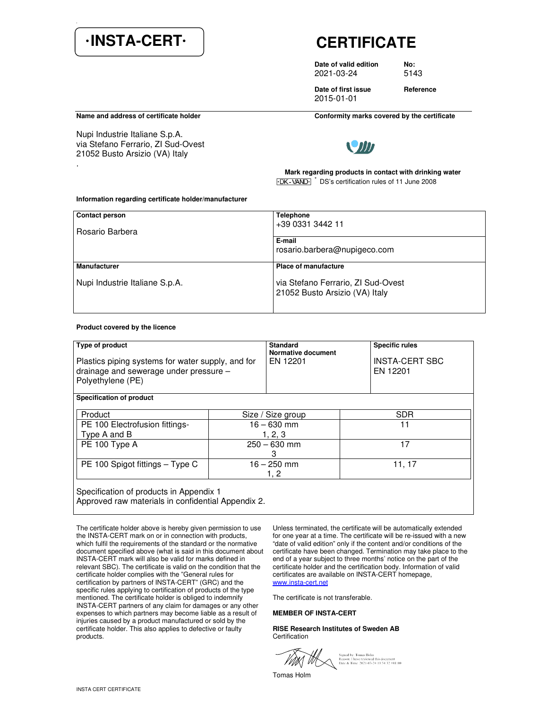# **·INSTA-CERT· CERTIFICATE**

**Date of valid edition No:**  2021-03-24 5143

**Date of first issue Beference** 2015-01-01

Nupi Industrie Italiane S.p.A. via Stefano Ferrario, ZI Sud-Ovest 21052 Busto Arsizio (VA) Italy .

Name and address of certificate holder **Conformity marks covered by the certificate** 



 **Mark regarding products in contact with drinking water**  $\overline{Y}$ -DK-VAND $\overline{Y}$ <sup>\*</sup> DS's certification rules of 11 June 2008

#### **Information regarding certificate holder/manufacturer**

| <b>Contact person</b><br>Rosario Barbera | <b>Telephone</b><br>+39 0331 3442 11<br>E-mail<br>rosario.barbera@nupigeco.com |  |
|------------------------------------------|--------------------------------------------------------------------------------|--|
| Manufacturer                             | <b>Place of manufacture</b>                                                    |  |
| Nupi Industrie Italiane S.p.A.           | via Stefano Ferrario, ZI Sud-Ovest<br>21052 Busto Arsizio (VA) Italy           |  |

### **Product covered by the licence**

| Type of product<br>Plastics piping systems for water supply, and for<br>drainage and sewerage under pressure -<br>Polyethylene (PE)<br>Specification of product |                          | <b>Standard</b><br>Normative document<br>EN 12201 | <b>Specific rules</b><br><b>INSTA-CERT SBC</b><br>EN 12201 |  |
|-----------------------------------------------------------------------------------------------------------------------------------------------------------------|--------------------------|---------------------------------------------------|------------------------------------------------------------|--|
| Product                                                                                                                                                         |                          | Size / Size group                                 | <b>SDR</b>                                                 |  |
| PE 100 Electrofusion fittings-<br>Type A and B                                                                                                                  | $16 - 630$ mm<br>1, 2, 3 |                                                   | 11                                                         |  |
| PE 100 Type A                                                                                                                                                   | $250 - 630$ mm<br>3      |                                                   | 17                                                         |  |
| PE 100 Spigot fittings - Type C                                                                                                                                 |                          | $16 - 250$ mm<br>1, 2                             | 11, 17                                                     |  |
| Specification of products in Appendix 1<br>Approved raw materials in confidential Appendix 2.                                                                   |                          |                                                   |                                                            |  |

The certificate holder above is hereby given permission to use the INSTA-CERT mark on or in connection with products, which fulfil the requirements of the standard or the normative document specified above (what is said in this document about INSTA-CERT mark will also be valid for marks defined in relevant SBC). The certificate is valid on the condition that the certificate holder complies with the "General rules for certification by partners of INSTA-CERT" (GRC) and the specific rules applying to certification of products of the type mentioned. The certificate holder is obliged to indemnify INSTA-CERT partners of any claim for damages or any other expenses to which partners may become liable as a result of injuries caused by a product manufactured or sold by the certificate holder. This also applies to defective or faulty products.

Unless terminated, the certificate will be automatically extended for one year at a time. The certificate will be re-issued with a new "date of valid edition" only if the content and/or conditions of the certificate have been changed. Termination may take place to the end of a year subject to three months' notice on the part of the certificate holder and the certification body. Information of valid certificates are available on INSTA-CERT homepage, www.insta-cert.net

The certificate is not transferable.

## **MEMBER OF INSTA-CERT**

**RISE Research Institutes of Sweden AB**  Certification

Signed by: Tomas Holm<br>Reason: I have reviewed this document<br>Date & Time: 2021-03-24 19:54:32 +01:00

Tomas Holm